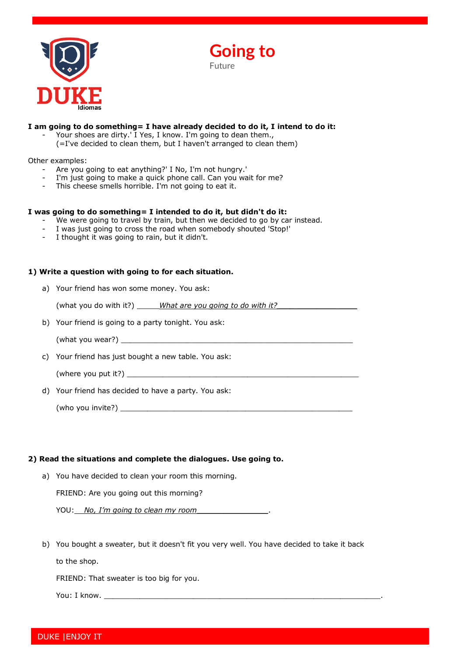

**Going to** 

Future

## **I am going to do something= I have already decided to do it, I intend to do it:**

- Your shoes are dirty.' I Yes, I know. I'm going to dean them.,
- (=I've decided to clean them, but I haven't arranged to clean them)

### Other examples:

- Are you going to eat anything?' I No, I'm not hungry.'
- I'm just going to make a quick phone call. Can you wait for me?
- This cheese smells horrible. I'm not going to eat it.

### **I was going to do something= I intended to do it, but didn't do it:**

- We were going to travel by train, but then we decided to go by car instead.
- I was just going to cross the road when somebody shouted 'Stop!'
- I thought it was going to rain, but it didn't.

# **1) Write a question with going to for each situation.**

a) Your friend has won some money. You ask:

(what you do with it?) \_\_\_\_\_\_*What are you going to do with it?\_\_\_\_\_\_\_\_\_\_\_\_\_\_\_\_\_\_* 

- b) Your friend is going to a party tonight. You ask:
	- (what you wear?)  $\sqrt{2\pi}$
- c) Your friend has just bought a new table. You ask:

(where you put it?)  $\frac{1}{\sqrt{2}}$ 

d) Your friend has decided to have a party. You ask:

(who you invite?)  $\qquad \qquad \qquad \qquad$ 

# **2) Read the situations and complete the dialogues. Use going to.**

a) You have decided to clean your room this morning.

FRIEND: Are you going out this morning?

YOU: *No, I'm going to clean my room* 

b) You bought a sweater, but it doesn't fit you very well. You have decided to take it back

to the shop.

FRIEND: That sweater is too big for you.

You: I know. \_\_\_\_